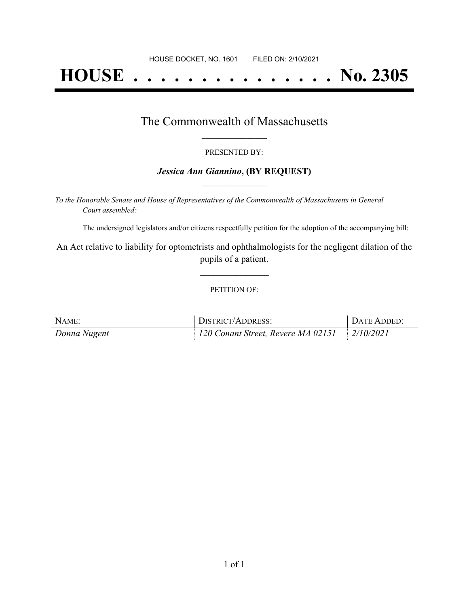# **HOUSE . . . . . . . . . . . . . . . No. 2305**

### The Commonwealth of Massachusetts **\_\_\_\_\_\_\_\_\_\_\_\_\_\_\_\_\_**

#### PRESENTED BY:

#### *Jessica Ann Giannino***, (BY REQUEST) \_\_\_\_\_\_\_\_\_\_\_\_\_\_\_\_\_**

*To the Honorable Senate and House of Representatives of the Commonwealth of Massachusetts in General Court assembled:*

The undersigned legislators and/or citizens respectfully petition for the adoption of the accompanying bill:

An Act relative to liability for optometrists and ophthalmologists for the negligent dilation of the pupils of a patient.

**\_\_\_\_\_\_\_\_\_\_\_\_\_\_\_**

#### PETITION OF:

| NAME:        | <b>DISTRICT/ADDRESS:</b>           | <sup>1</sup> DATE ADDED: |
|--------------|------------------------------------|--------------------------|
| Donna Nugent | 120 Conant Street, Revere MA 02151 | $2/10/2021$              |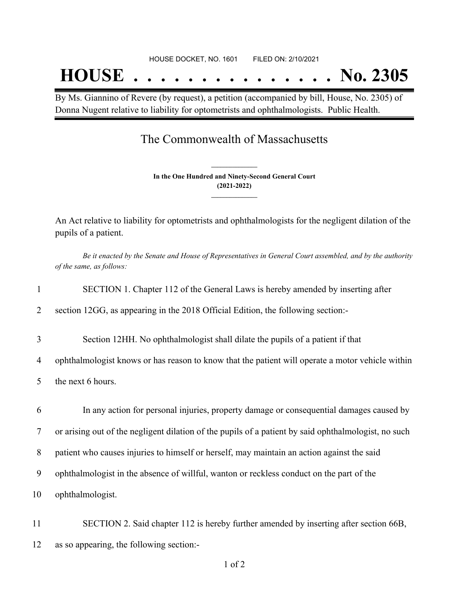## **HOUSE . . . . . . . . . . . . . . . No. 2305**

By Ms. Giannino of Revere (by request), a petition (accompanied by bill, House, No. 2305) of Donna Nugent relative to liability for optometrists and ophthalmologists. Public Health.

## The Commonwealth of Massachusetts

**In the One Hundred and Ninety-Second General Court (2021-2022) \_\_\_\_\_\_\_\_\_\_\_\_\_\_\_**

**\_\_\_\_\_\_\_\_\_\_\_\_\_\_\_**

An Act relative to liability for optometrists and ophthalmologists for the negligent dilation of the pupils of a patient.

Be it enacted by the Senate and House of Representatives in General Court assembled, and by the authority *of the same, as follows:*

|  |  |  | SECTION 1. Chapter 112 of the General Laws is hereby amended by inserting after |
|--|--|--|---------------------------------------------------------------------------------|
|  |  |  |                                                                                 |

2 section 12GG, as appearing in the 2018 Official Edition, the following section:-

3 Section 12HH. No ophthalmologist shall dilate the pupils of a patient if that

4 ophthalmologist knows or has reason to know that the patient will operate a motor vehicle within

5 the next 6 hours.

 In any action for personal injuries, property damage or consequential damages caused by or arising out of the negligent dilation of the pupils of a patient by said ophthalmologist, no such patient who causes injuries to himself or herself, may maintain an action against the said ophthalmologist in the absence of willful, wanton or reckless conduct on the part of the ophthalmologist.

11 SECTION 2. Said chapter 112 is hereby further amended by inserting after section 66B, 12 as so appearing, the following section:-